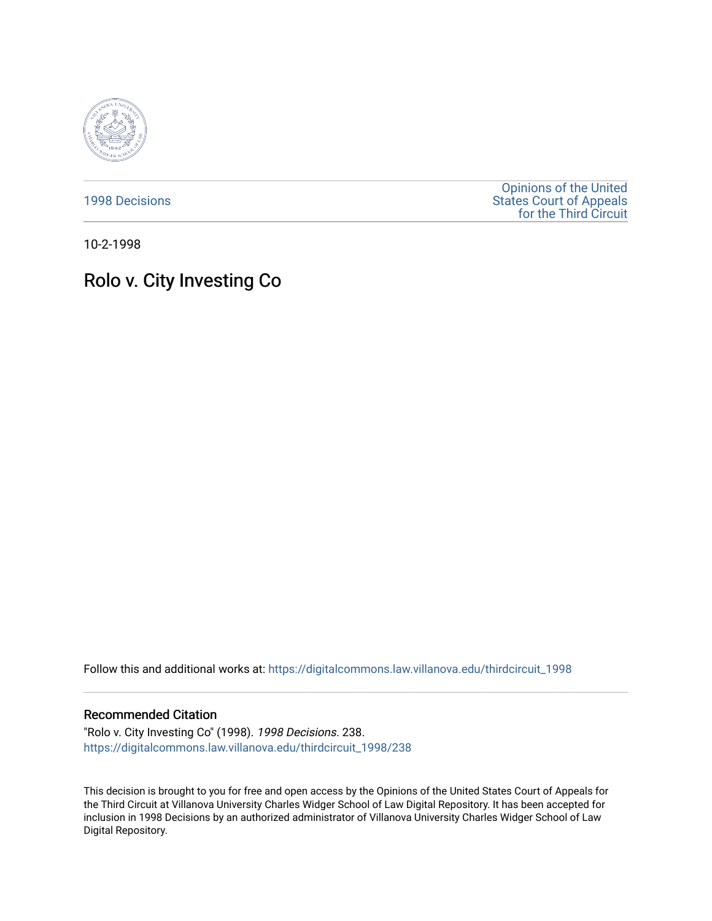

[1998 Decisions](https://digitalcommons.law.villanova.edu/thirdcircuit_1998)

[Opinions of the United](https://digitalcommons.law.villanova.edu/thirdcircuit)  [States Court of Appeals](https://digitalcommons.law.villanova.edu/thirdcircuit)  [for the Third Circuit](https://digitalcommons.law.villanova.edu/thirdcircuit) 

10-2-1998

## Rolo v. City Investing Co

Follow this and additional works at: [https://digitalcommons.law.villanova.edu/thirdcircuit\\_1998](https://digitalcommons.law.villanova.edu/thirdcircuit_1998?utm_source=digitalcommons.law.villanova.edu%2Fthirdcircuit_1998%2F238&utm_medium=PDF&utm_campaign=PDFCoverPages) 

## Recommended Citation

"Rolo v. City Investing Co" (1998). 1998 Decisions. 238. [https://digitalcommons.law.villanova.edu/thirdcircuit\\_1998/238](https://digitalcommons.law.villanova.edu/thirdcircuit_1998/238?utm_source=digitalcommons.law.villanova.edu%2Fthirdcircuit_1998%2F238&utm_medium=PDF&utm_campaign=PDFCoverPages)

This decision is brought to you for free and open access by the Opinions of the United States Court of Appeals for the Third Circuit at Villanova University Charles Widger School of Law Digital Repository. It has been accepted for inclusion in 1998 Decisions by an authorized administrator of Villanova University Charles Widger School of Law Digital Repository.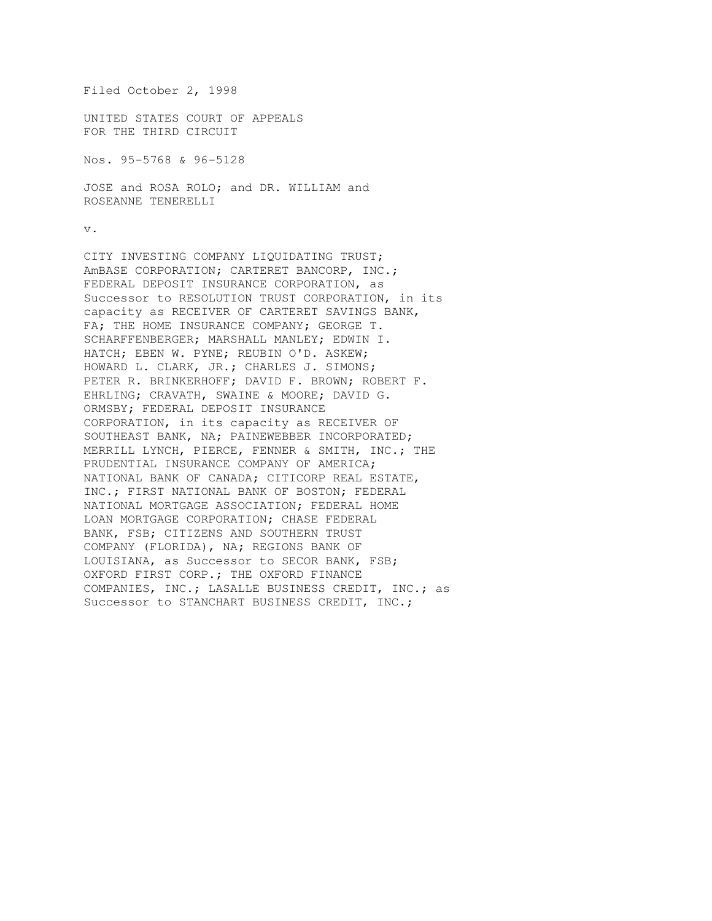Filed October 2, 1998

UNITED STATES COURT OF APPEALS FOR THE THIRD CIRCUIT

Nos. 95-5768 & 96-5128

JOSE and ROSA ROLO; and DR. WILLIAM and ROSEANNE TENERELLI

v.

CITY INVESTING COMPANY LIQUIDATING TRUST; AmBASE CORPORATION; CARTERET BANCORP, INC.; FEDERAL DEPOSIT INSURANCE CORPORATION, as Successor to RESOLUTION TRUST CORPORATION, in its capacity as RECEIVER OF CARTERET SAVINGS BANK, FA; THE HOME INSURANCE COMPANY; GEORGE T. SCHARFFENBERGER; MARSHALL MANLEY; EDWIN I. HATCH; EBEN W. PYNE; REUBIN O'D. ASKEW; HOWARD L. CLARK, JR.; CHARLES J. SIMONS; PETER R. BRINKERHOFF; DAVID F. BROWN; ROBERT F. EHRLING; CRAVATH, SWAINE & MOORE; DAVID G. ORMSBY; FEDERAL DEPOSIT INSURANCE CORPORATION, in its capacity as RECEIVER OF SOUTHEAST BANK, NA; PAINEWEBBER INCORPORATED; MERRILL LYNCH, PIERCE, FENNER & SMITH, INC.; THE PRUDENTIAL INSURANCE COMPANY OF AMERICA; NATIONAL BANK OF CANADA; CITICORP REAL ESTATE, INC.; FIRST NATIONAL BANK OF BOSTON; FEDERAL NATIONAL MORTGAGE ASSOCIATION; FEDERAL HOME LOAN MORTGAGE CORPORATION; CHASE FEDERAL BANK, FSB; CITIZENS AND SOUTHERN TRUST COMPANY (FLORIDA), NA; REGIONS BANK OF LOUISIANA, as Successor to SECOR BANK, FSB; OXFORD FIRST CORP.; THE OXFORD FINANCE COMPANIES, INC.; LASALLE BUSINESS CREDIT, INC.; as Successor to STANCHART BUSINESS CREDIT, INC.;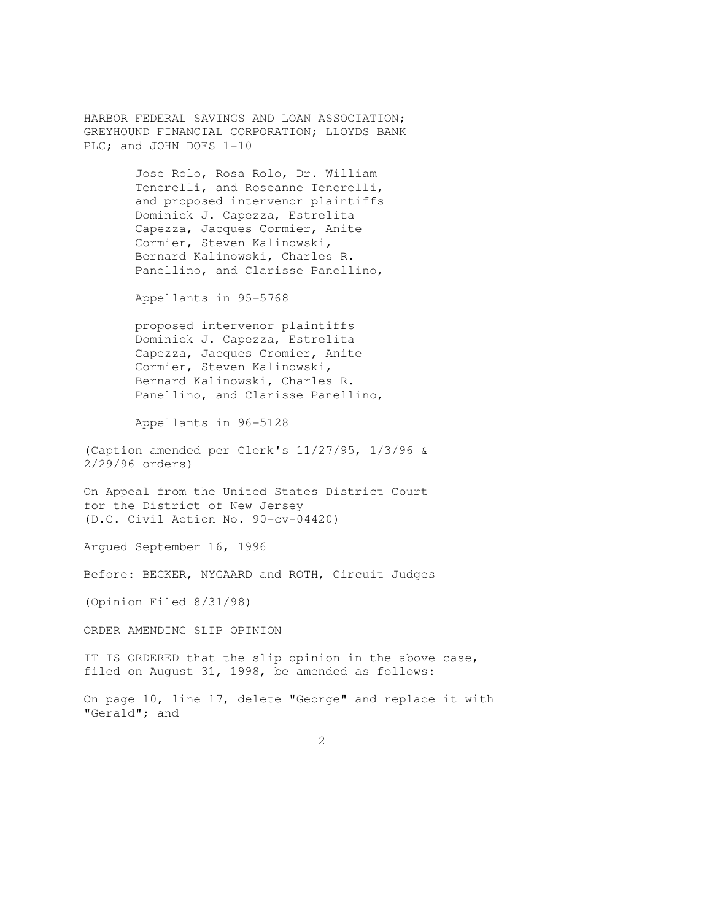HARBOR FEDERAL SAVINGS AND LOAN ASSOCIATION; GREYHOUND FINANCIAL CORPORATION; LLOYDS BANK PLC; and JOHN DOES 1-10

> Jose Rolo, Rosa Rolo, Dr. William Tenerelli, and Roseanne Tenerelli, and proposed intervenor plaintiffs Dominick J. Capezza, Estrelita Capezza, Jacques Cormier, Anite Cormier, Steven Kalinowski, Bernard Kalinowski, Charles R. Panellino, and Clarisse Panellino,

Appellants in 95-5768

 proposed intervenor plaintiffs Dominick J. Capezza, Estrelita Capezza, Jacques Cromier, Anite Cormier, Steven Kalinowski, Bernard Kalinowski, Charles R. Panellino, and Clarisse Panellino,

Appellants in 96-5128

(Caption amended per Clerk's 11/27/95, 1/3/96 & 2/29/96 orders)

On Appeal from the United States District Court for the District of New Jersey (D.C. Civil Action No. 90-cv-04420)

Argued September 16, 1996

Before: BECKER, NYGAARD and ROTH, Circuit Judges

(Opinion Filed 8/31/98)

ORDER AMENDING SLIP OPINION

IT IS ORDERED that the slip opinion in the above case, filed on August 31, 1998, be amended as follows:

On page 10, line 17, delete "George" and replace it with "Gerald"; and

2